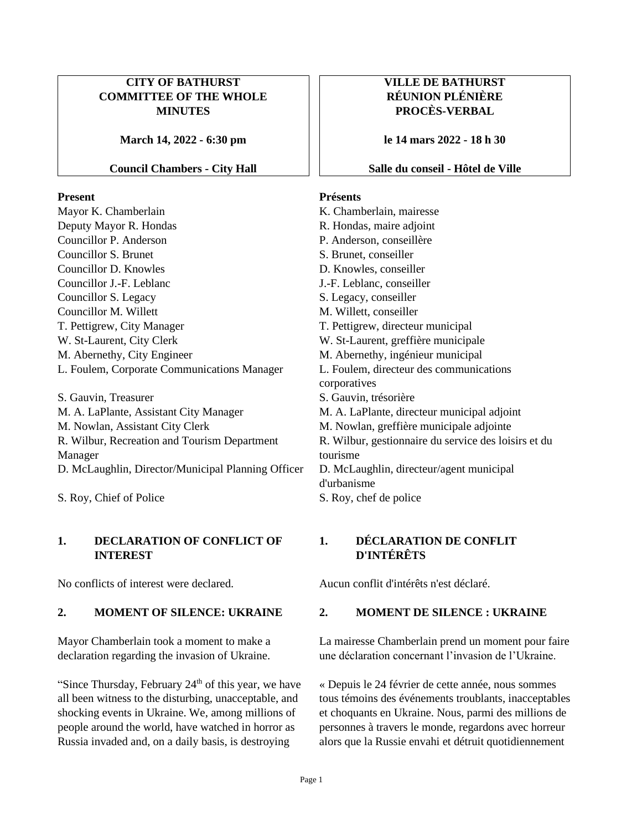### **CITY OF BATHURST COMMITTEE OF THE WHOLE MINUTES**

**March 14, 2022 - 6:30 pm**

### **Council Chambers - City Hall**

### **Present**

Mayor K. Chamberlain Deputy Mayor R. Hondas Councillor P. Anderson Councillor S. Brunet Councillor D. Knowles Councillor J.-F. Leblanc Councillor S. Legacy Councillor M. Willett T. Pettigrew, City Manager W. St-Laurent, City Clerk M. Abernethy, City Engineer L. Foulem, Corporate Communications Manager

S. Gauvin, Treasurer M. A. LaPlante, Assistant City Manager M. Nowlan, Assistant City Clerk R. Wilbur, Recreation and Tourism Department Manager D. McLaughlin, Director/Municipal Planning Officer

S. Roy, Chief of Police

### **1. DECLARATION OF CONFLICT OF INTEREST**

No conflicts of interest were declared. Aucun conflit d'intérêts n'est déclaré.

Mayor Chamberlain took a moment to make a declaration regarding the invasion of Ukraine.

"Since Thursday, February  $24<sup>th</sup>$  of this year, we have all been witness to the disturbing, unacceptable, and shocking events in Ukraine. We, among millions of people around the world, have watched in horror as Russia invaded and, on a daily basis, is destroying

# **VILLE DE BATHURST RÉUNION PLÉNIÈRE PROCÈS-VERBAL**

**le 14 mars 2022 - 18 h 30**

### **Salle du conseil - Hôtel de Ville**

### **Présents**

K. Chamberlain, mairesse R. Hondas, maire adjoint P. Anderson, conseillère S. Brunet, conseiller D. Knowles, conseiller J.-F. Leblanc, conseiller S. Legacy, conseiller M. Willett, conseiller T. Pettigrew, directeur municipal W. St-Laurent, greffière municipale M. Abernethy, ingénieur municipal L. Foulem, directeur des communications corporatives S. Gauvin, trésorière M. A. LaPlante, directeur municipal adjoint M. Nowlan, greffière municipale adjointe R. Wilbur, gestionnaire du service des loisirs et du tourisme D. McLaughlin, directeur/agent municipal d'urbanisme S. Roy, chef de police

### **1. DÉCLARATION DE CONFLIT D'INTÉRÊTS**

### **2. MOMENT OF SILENCE: UKRAINE 2. MOMENT DE SILENCE : UKRAINE**

La mairesse Chamberlain prend un moment pour faire une déclaration concernant l'invasion de l'Ukraine.

« Depuis le 24 février de cette année, nous sommes tous témoins des événements troublants, inacceptables et choquants en Ukraine. Nous, parmi des millions de personnes à travers le monde, regardons avec horreur alors que la Russie envahi et détruit quotidiennement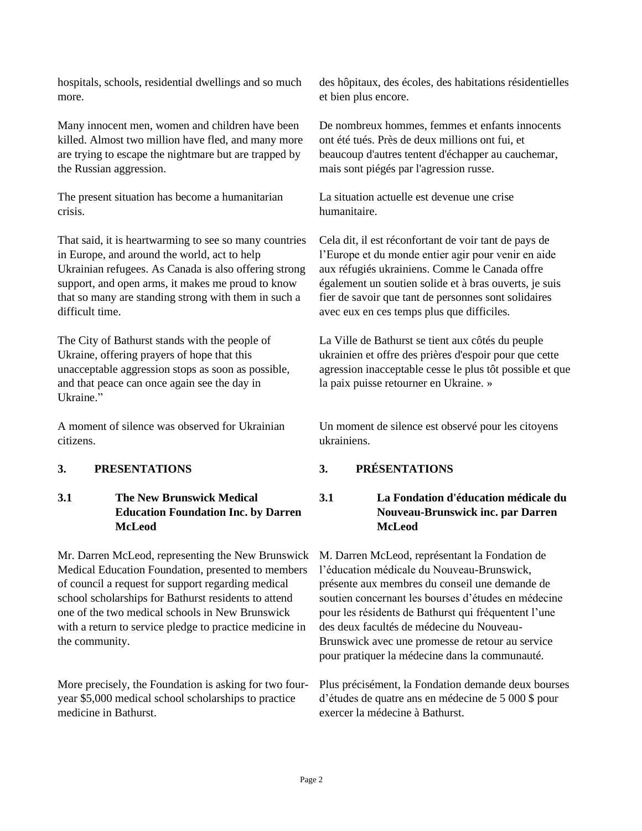hospitals, schools, residential dwellings and so much more.

Many innocent men, women and children have been killed. Almost two million have fled, and many more are trying to escape the nightmare but are trapped by the Russian aggression.

The present situation has become a humanitarian crisis.

That said, it is heartwarming to see so many countries in Europe, and around the world, act to help Ukrainian refugees. As Canada is also offering strong support, and open arms, it makes me proud to know that so many are standing strong with them in such a difficult time.

The City of Bathurst stands with the people of Ukraine, offering prayers of hope that this unacceptable aggression stops as soon as possible, and that peace can once again see the day in Ukraine."

A moment of silence was observed for Ukrainian citizens.

# **3.1 The New Brunswick Medical Education Foundation Inc. by Darren McLeod**

Mr. Darren McLeod, representing the New Brunswick Medical Education Foundation, presented to members of council a request for support regarding medical school scholarships for Bathurst residents to attend one of the two medical schools in New Brunswick with a return to service pledge to practice medicine in the community.

More precisely, the Foundation is asking for two fouryear \$5,000 medical school scholarships to practice medicine in Bathurst.

des hôpitaux, des écoles, des habitations résidentielles et bien plus encore.

De nombreux hommes, femmes et enfants innocents ont été tués. Près de deux millions ont fui, et beaucoup d'autres tentent d'échapper au cauchemar, mais sont piégés par l'agression russe.

La situation actuelle est devenue une crise humanitaire.

Cela dit, il est réconfortant de voir tant de pays de l'Europe et du monde entier agir pour venir en aide aux réfugiés ukrainiens. Comme le Canada offre également un soutien solide et à bras ouverts, je suis fier de savoir que tant de personnes sont solidaires avec eux en ces temps plus que difficiles.

La Ville de Bathurst se tient aux côtés du peuple ukrainien et offre des prières d'espoir pour que cette agression inacceptable cesse le plus tôt possible et que la paix puisse retourner en Ukraine. »

Un moment de silence est observé pour les citoyens ukrainiens.

# **3. PRESENTATIONS 3. PRÉSENTATIONS**

# **3.1 La Fondation d'éducation médicale du Nouveau-Brunswick inc. par Darren McLeod**

M. Darren McLeod, représentant la Fondation de l'éducation médicale du Nouveau-Brunswick, présente aux membres du conseil une demande de soutien concernant les bourses d'études en médecine pour les résidents de Bathurst qui fréquentent l'une des deux facultés de médecine du Nouveau-Brunswick avec une promesse de retour au service pour pratiquer la médecine dans la communauté.

Plus précisément, la Fondation demande deux bourses d'études de quatre ans en médecine de 5 000 \$ pour exercer la médecine à Bathurst.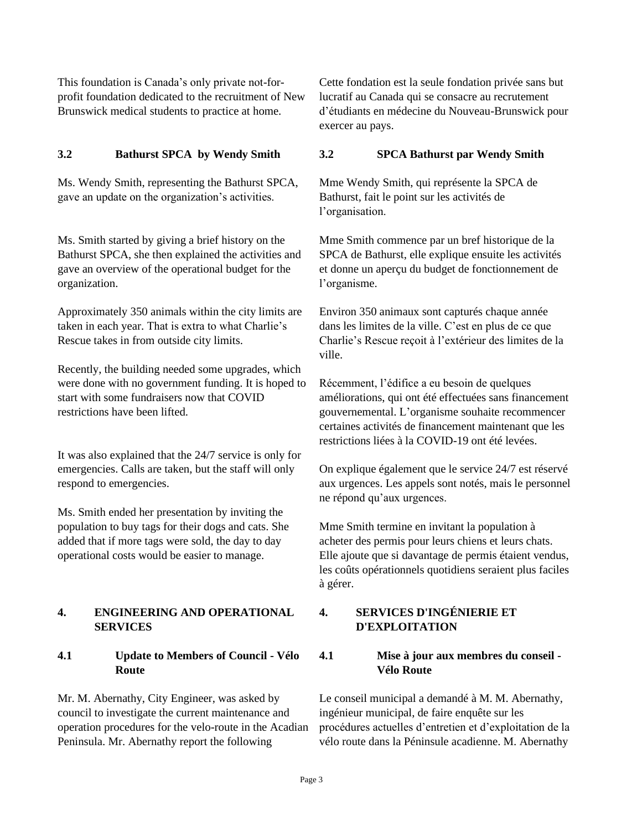This foundation is Canada's only private not-forprofit foundation dedicated to the recruitment of New Brunswick medical students to practice at home.

### **3.2 Bathurst SPCA by Wendy Smith 3.2 SPCA Bathurst par Wendy Smith**

Ms. Wendy Smith, representing the Bathurst SPCA, gave an update on the organization's activities.

Ms. Smith started by giving a brief history on the Bathurst SPCA, she then explained the activities and gave an overview of the operational budget for the organization.

Approximately 350 animals within the city limits are taken in each year. That is extra to what Charlie's Rescue takes in from outside city limits.

Recently, the building needed some upgrades, which were done with no government funding. It is hoped to start with some fundraisers now that COVID restrictions have been lifted.

It was also explained that the 24/7 service is only for emergencies. Calls are taken, but the staff will only respond to emergencies.

Ms. Smith ended her presentation by inviting the population to buy tags for their dogs and cats. She added that if more tags were sold, the day to day operational costs would be easier to manage.

### **4. ENGINEERING AND OPERATIONAL SERVICES**

### **4.1 Update to Members of Council - Vélo Route**

Mr. M. Abernathy, City Engineer, was asked by council to investigate the current maintenance and operation procedures for the velo-route in the Acadian Peninsula. Mr. Abernathy report the following

Cette fondation est la seule fondation privée sans but lucratif au Canada qui se consacre au recrutement d'étudiants en médecine du Nouveau-Brunswick pour exercer au pays.

Mme Wendy Smith, qui représente la SPCA de Bathurst, fait le point sur les activités de l'organisation.

Mme Smith commence par un bref historique de la SPCA de Bathurst, elle explique ensuite les activités et donne un aperçu du budget de fonctionnement de l'organisme.

Environ 350 animaux sont capturés chaque année dans les limites de la ville. C'est en plus de ce que Charlie's Rescue reçoit à l'extérieur des limites de la ville.

Récemment, l'édifice a eu besoin de quelques améliorations, qui ont été effectuées sans financement gouvernemental. L'organisme souhaite recommencer certaines activités de financement maintenant que les restrictions liées à la COVID-19 ont été levées.

On explique également que le service 24/7 est réservé aux urgences. Les appels sont notés, mais le personnel ne répond qu'aux urgences.

Mme Smith termine en invitant la population à acheter des permis pour leurs chiens et leurs chats. Elle ajoute que si davantage de permis étaient vendus, les coûts opérationnels quotidiens seraient plus faciles à gérer.

# **4. SERVICES D'INGÉNIERIE ET D'EXPLOITATION**

### **4.1 Mise à jour aux membres du conseil - Vélo Route**

Le conseil municipal a demandé à M. M. Abernathy, ingénieur municipal, de faire enquête sur les procédures actuelles d'entretien et d'exploitation de la vélo route dans la Péninsule acadienne. M. Abernathy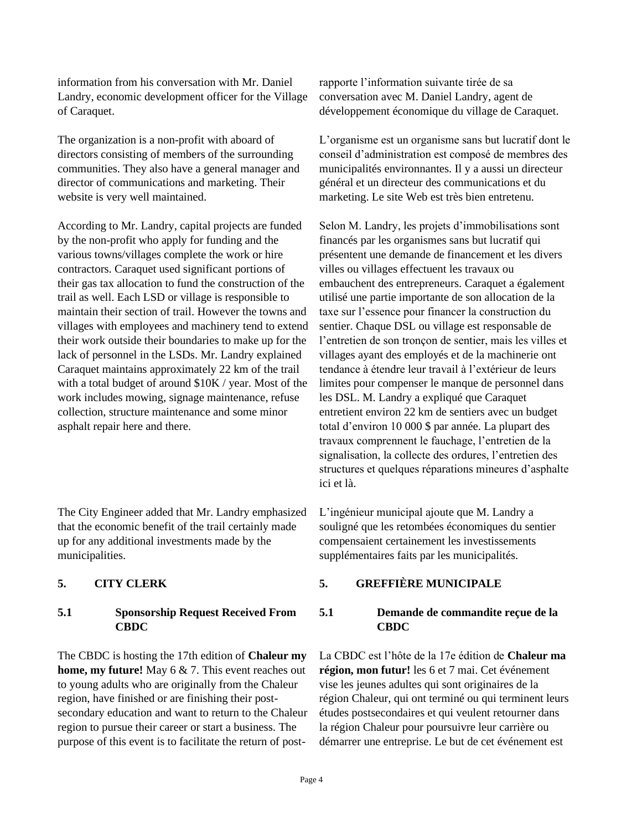information from his conversation with Mr. Daniel Landry, economic development officer for the Village of Caraquet.

The organization is a non-profit with aboard of directors consisting of members of the surrounding communities. They also have a general manager and director of communications and marketing. Their website is very well maintained.

According to Mr. Landry, capital projects are funded by the non-profit who apply for funding and the various towns/villages complete the work or hire contractors. Caraquet used significant portions of their gas tax allocation to fund the construction of the trail as well. Each LSD or village is responsible to maintain their section of trail. However the towns and villages with employees and machinery tend to extend their work outside their boundaries to make up for the lack of personnel in the LSDs. Mr. Landry explained Caraquet maintains approximately 22 km of the trail with a total budget of around \$10K / year. Most of the work includes mowing, signage maintenance, refuse collection, structure maintenance and some minor asphalt repair here and there.

The City Engineer added that Mr. Landry emphasized that the economic benefit of the trail certainly made up for any additional investments made by the municipalities.

### **5.1 Sponsorship Request Received From CBDC**

The CBDC is hosting the 17th edition of **Chaleur my home, my future!** May 6 & 7. This event reaches out to young adults who are originally from the Chaleur region, have finished or are finishing their postsecondary education and want to return to the Chaleur region to pursue their career or start a business. The purpose of this event is to facilitate the return of postrapporte l'information suivante tirée de sa conversation avec M. Daniel Landry, agent de développement économique du village de Caraquet.

L'organisme est un organisme sans but lucratif dont le conseil d'administration est composé de membres des municipalités environnantes. Il y a aussi un directeur général et un directeur des communications et du marketing. Le site Web est très bien entretenu.

Selon M. Landry, les projets d'immobilisations sont financés par les organismes sans but lucratif qui présentent une demande de financement et les divers villes ou villages effectuent les travaux ou embauchent des entrepreneurs. Caraquet a également utilisé une partie importante de son allocation de la taxe sur l'essence pour financer la construction du sentier. Chaque DSL ou village est responsable de l'entretien de son tronçon de sentier, mais les villes et villages ayant des employés et de la machinerie ont tendance à étendre leur travail à l'extérieur de leurs limites pour compenser le manque de personnel dans les DSL. M. Landry a expliqué que Caraquet entretient environ 22 km de sentiers avec un budget total d'environ 10 000 \$ par année. La plupart des travaux comprennent le fauchage, l'entretien de la signalisation, la collecte des ordures, l'entretien des structures et quelques réparations mineures d'asphalte ici et là.

L'ingénieur municipal ajoute que M. Landry a souligné que les retombées économiques du sentier compensaient certainement les investissements supplémentaires faits par les municipalités.

### **5. CITY CLERK 5. GREFFIÈRE MUNICIPALE**

# **5.1 Demande de commandite reçue de la CBDC**

La CBDC est l'hôte de la 17e édition de **Chaleur ma région, mon futur!** les 6 et 7 mai. Cet événement vise les jeunes adultes qui sont originaires de la région Chaleur, qui ont terminé ou qui terminent leurs études postsecondaires et qui veulent retourner dans la région Chaleur pour poursuivre leur carrière ou démarrer une entreprise. Le but de cet événement est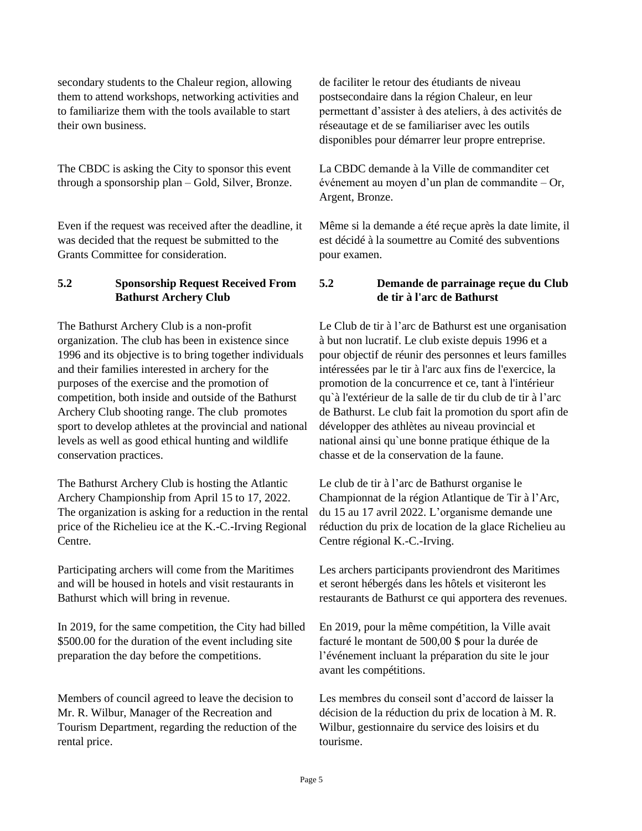secondary students to the Chaleur region, allowing them to attend workshops, networking activities and to familiarize them with the tools available to start their own business.

The CBDC is asking the City to sponsor this event through a sponsorship plan – Gold, Silver, Bronze.

Even if the request was received after the deadline, it was decided that the request be submitted to the Grants Committee for consideration.

# **5.2 Sponsorship Request Received From Bathurst Archery Club**

The Bathurst Archery Club is a non-profit organization. The club has been in existence since 1996 and its objective is to bring together individuals and their families interested in archery for the purposes of the exercise and the promotion of competition, both inside and outside of the Bathurst Archery Club shooting range. The club promotes sport to develop athletes at the provincial and national levels as well as good ethical hunting and wildlife conservation practices.

The Bathurst Archery Club is hosting the Atlantic Archery Championship from April 15 to 17, 2022. The organization is asking for a reduction in the rental price of the Richelieu ice at the K.-C.-Irving Regional Centre.

Participating archers will come from the Maritimes and will be housed in hotels and visit restaurants in Bathurst which will bring in revenue.

In 2019, for the same competition, the City had billed \$500.00 for the duration of the event including site preparation the day before the competitions.

Members of council agreed to leave the decision to Mr. R. Wilbur, Manager of the Recreation and Tourism Department, regarding the reduction of the rental price.

de faciliter le retour des étudiants de niveau postsecondaire dans la région Chaleur, en leur permettant d'assister à des ateliers, à des activités de réseautage et de se familiariser avec les outils disponibles pour démarrer leur propre entreprise.

La CBDC demande à la Ville de commanditer cet événement au moyen d'un plan de commandite – Or, Argent, Bronze.

Même si la demande a été reçue après la date limite, il est décidé à la soumettre au Comité des subventions pour examen.

# **5.2 Demande de parrainage reçue du Club de tir à l'arc de Bathurst**

Le Club de tir à l'arc de Bathurst est une organisation à but non lucratif. Le club existe depuis 1996 et a pour objectif de réunir des personnes et leurs familles intéressées par le tir à l'arc aux fins de l'exercice, la promotion de la concurrence et ce, tant à l'intérieur qu`à l'extérieur de la salle de tir du club de tir à l'arc de Bathurst. Le club fait la promotion du sport afin de développer des athlètes au niveau provincial et national ainsi qu`une bonne pratique éthique de la chasse et de la conservation de la faune.

Le club de tir à l'arc de Bathurst organise le Championnat de la région Atlantique de Tir à l'Arc, du 15 au 17 avril 2022. L'organisme demande une réduction du prix de location de la glace Richelieu au Centre régional K.-C.-Irving.

Les archers participants proviendront des Maritimes et seront hébergés dans les hôtels et visiteront les restaurants de Bathurst ce qui apportera des revenues.

En 2019, pour la même compétition, la Ville avait facturé le montant de 500,00 \$ pour la durée de l'événement incluant la préparation du site le jour avant les compétitions.

Les membres du conseil sont d'accord de laisser la décision de la réduction du prix de location à M. R. Wilbur, gestionnaire du service des loisirs et du tourisme.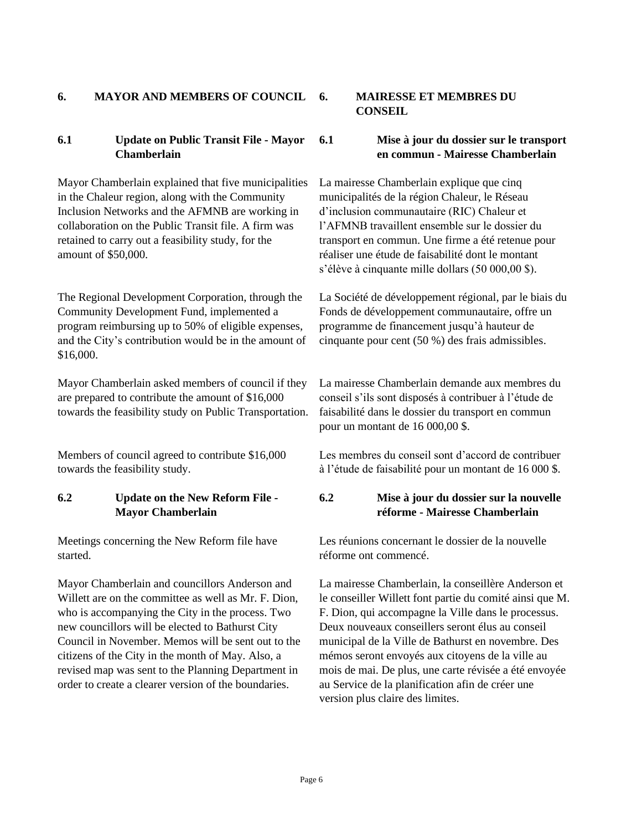### **6. MAYOR AND MEMBERS OF COUNCIL 6. MAIRESSE ET MEMBRES DU**

### **6.1 Update on Public Transit File - Mayor Chamberlain**

Mayor Chamberlain explained that five municipalities in the Chaleur region, along with the Community Inclusion Networks and the AFMNB are working in collaboration on the Public Transit file. A firm was retained to carry out a feasibility study, for the amount of \$50,000.

The Regional Development Corporation, through the Community Development Fund, implemented a program reimbursing up to 50% of eligible expenses, and the City's contribution would be in the amount of \$16,000.

Mayor Chamberlain asked members of council if they are prepared to contribute the amount of \$16,000 towards the feasibility study on Public Transportation.

Members of council agreed to contribute \$16,000 towards the feasibility study.

# **6.2 Update on the New Reform File - Mayor Chamberlain**

Meetings concerning the New Reform file have started.

Mayor Chamberlain and councillors Anderson and Willett are on the committee as well as Mr. F. Dion, who is accompanying the City in the process. Two new councillors will be elected to Bathurst City Council in November. Memos will be sent out to the citizens of the City in the month of May. Also, a revised map was sent to the Planning Department in order to create a clearer version of the boundaries.

# **CONSEIL**

### **6.1 Mise à jour du dossier sur le transport en commun - Mairesse Chamberlain**

La mairesse Chamberlain explique que cinq municipalités de la région Chaleur, le Réseau d'inclusion communautaire (RIC) Chaleur et l'AFMNB travaillent ensemble sur le dossier du transport en commun. Une firme a été retenue pour réaliser une étude de faisabilité dont le montant s'élève à cinquante mille dollars (50 000,00 \$).

La Société de développement régional, par le biais du Fonds de développement communautaire, offre un programme de financement jusqu'à hauteur de cinquante pour cent (50 %) des frais admissibles.

La mairesse Chamberlain demande aux membres du conseil s'ils sont disposés à contribuer à l'étude de faisabilité dans le dossier du transport en commun pour un montant de 16 000,00 \$.

Les membres du conseil sont d'accord de contribuer à l'étude de faisabilité pour un montant de 16 000 \$.

### **6.2 Mise à jour du dossier sur la nouvelle réforme - Mairesse Chamberlain**

Les réunions concernant le dossier de la nouvelle réforme ont commencé.

La mairesse Chamberlain, la conseillère Anderson et le conseiller Willett font partie du comité ainsi que M. F. Dion, qui accompagne la Ville dans le processus. Deux nouveaux conseillers seront élus au conseil municipal de la Ville de Bathurst en novembre. Des mémos seront envoyés aux citoyens de la ville au mois de mai. De plus, une carte révisée a été envoyée au Service de la planification afin de créer une version plus claire des limites.